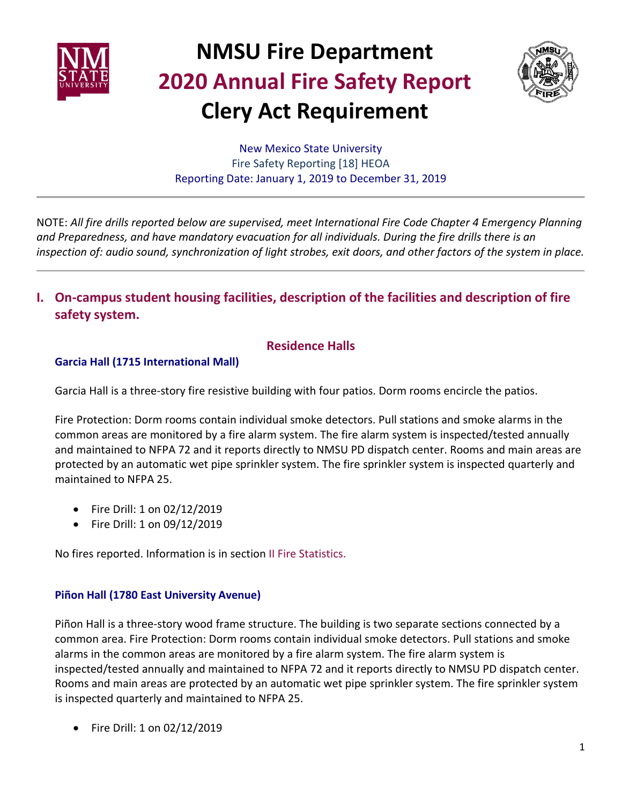



New Mexico State University Fire Safety Reporting [18] HEOA Reporting Date: January 1, 2019 to December 31, 2019

NOTE: *All fire drills reported below are supervised, meet International Fire Code Chapter 4 Emergency Planning and Preparedness, and have mandatory evacuation for all individuals. During the fire drills there is an inspection of: audio sound, synchronization of light strobes, exit doors, and other factors of the system in place.*

**I. On-campus student housing facilities, description of the facilities and description of fire safety system.**

### **Residence Halls**

### **Garcia Hall (1715 International Mall)**

Garcia Hall is a three-story fire resistive building with four patios. Dorm rooms encircle the patios.

Fire Protection: Dorm rooms contain individual smoke detectors. Pull stations and smoke alarms in the common areas are monitored by a fire alarm system. The fire alarm system is inspected/tested annually and maintained to NFPA 72 and it reports directly to NMSU PD dispatch center. Rooms and main areas are protected by an automatic wet pipe sprinkler system. The fire sprinkler system is inspected quarterly and maintained to NFPA 25.

- Fire Drill: 1 on 02/12/2019
- Fire Drill: 1 on 09/12/2019

No fires reported. Information is in section II Fire Statistics.

#### **Piñon Hall (1780 East University Avenue)**

Piñon Hall is a three-story wood frame structure. The building is two separate sections connected by a common area. Fire Protection: Dorm rooms contain individual smoke detectors. Pull stations and smoke alarms in the common areas are monitored by a fire alarm system. The fire alarm system is inspected/tested annually and maintained to NFPA 72 and it reports directly to NMSU PD dispatch center. Rooms and main areas are protected by an automatic wet pipe sprinkler system. The fire sprinkler system is inspected quarterly and maintained to NFPA 25.

• Fire Drill: 1 on 02/12/2019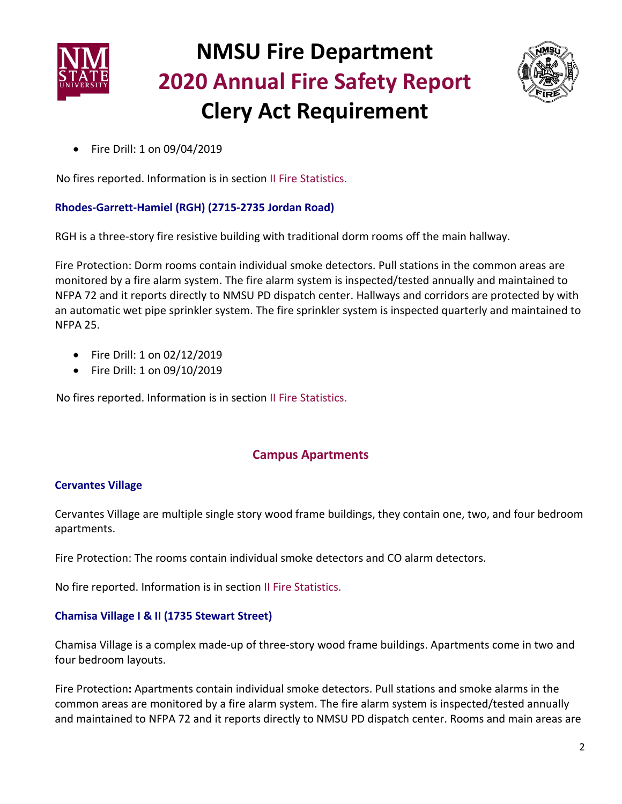



• Fire Drill: 1 on 09/04/2019

No fires reported. Information is in section II Fire Statistics.

### **Rhodes-Garrett-Hamiel (RGH) (2715-2735 Jordan Road)**

RGH is a three-story fire resistive building with traditional dorm rooms off the main hallway.

Fire Protection: Dorm rooms contain individual smoke detectors. Pull stations in the common areas are monitored by a fire alarm system. The fire alarm system is inspected/tested annually and maintained to NFPA 72 and it reports directly to NMSU PD dispatch center. Hallways and corridors are protected by with an automatic wet pipe sprinkler system. The fire sprinkler system is inspected quarterly and maintained to NFPA 25.

- Fire Drill: 1 on 02/12/2019
- Fire Drill: 1 on 09/10/2019

No fires reported. Information is in section II Fire Statistics.

### **Campus Apartments**

#### **Cervantes Village**

Cervantes Village are multiple single story wood frame buildings, they contain one, two, and four bedroom apartments.

Fire Protection: The rooms contain individual smoke detectors and CO alarm detectors.

No fire reported. Information is in section II Fire Statistics.

#### **Chamisa Village I & II (1735 Stewart Street)**

Chamisa Village is a complex made-up of three-story wood frame buildings. Apartments come in two and four bedroom layouts.

Fire Protection**:** Apartments contain individual smoke detectors. Pull stations and smoke alarms in the common areas are monitored by a fire alarm system. The fire alarm system is inspected/tested annually and maintained to NFPA 72 and it reports directly to NMSU PD dispatch center. Rooms and main areas are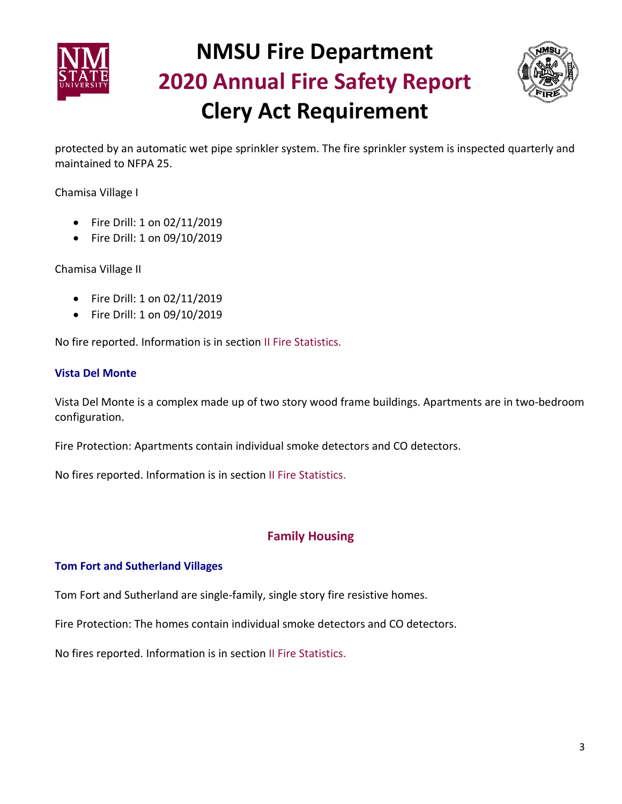



protected by an automatic wet pipe sprinkler system. The fire sprinkler system is inspected quarterly and maintained to NFPA 25.

Chamisa Village I

- Fire Drill: 1 on 02/11/2019
- Fire Drill: 1 on 09/10/2019

Chamisa Village II

- Fire Drill: 1 on 02/11/2019
- Fire Drill: 1 on 09/10/2019

No fire reported. Information is in section II Fire Statistics.

#### **Vista Del Monte**

Vista Del Monte is a complex made up of two story wood frame buildings. Apartments are in two-bedroom configuration.

Fire Protection: Apartments contain individual smoke detectors and CO detectors.

No fires reported. Information is in section II Fire Statistics.

#### **Family Housing**

#### **Tom Fort and Sutherland Villages**

Tom Fort and Sutherland are single-family, single story fire resistive homes.

Fire Protection: The homes contain individual smoke detectors and CO detectors.

No fires reported. Information is in section II Fire Statistics.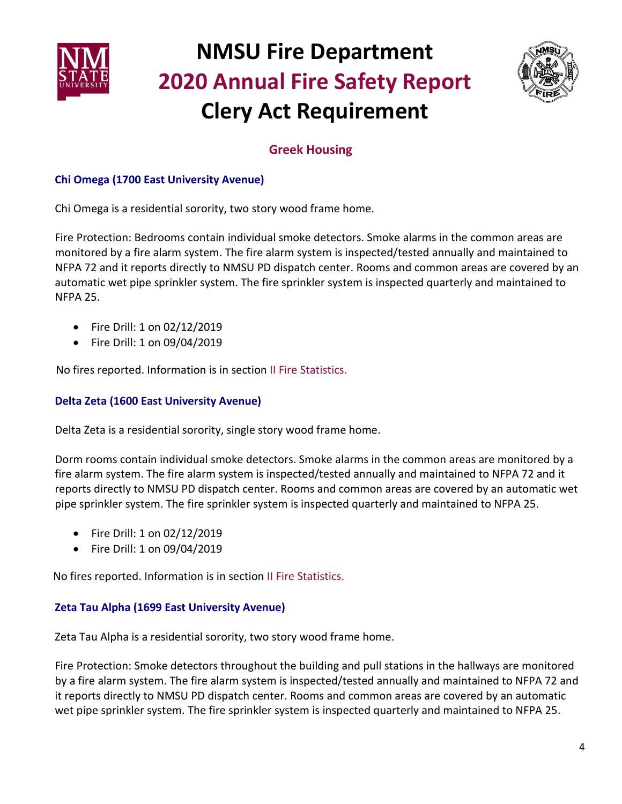



## **Greek Housing**

### **Chi Omega (1700 East University Avenue)**

Chi Omega is a residential sorority, two story wood frame home.

Fire Protection: Bedrooms contain individual smoke detectors. Smoke alarms in the common areas are monitored by a fire alarm system. The fire alarm system is inspected/tested annually and maintained to NFPA 72 and it reports directly to NMSU PD dispatch center. Rooms and common areas are covered by an automatic wet pipe sprinkler system. The fire sprinkler system is inspected quarterly and maintained to NFPA 25.

- Fire Drill: 1 on 02/12/2019
- Fire Drill: 1 on 09/04/2019

No fires reported. Information is in section II Fire Statistics.

#### **Delta Zeta (1600 East University Avenue)**

Delta Zeta is a residential sorority, single story wood frame home.

Dorm rooms contain individual smoke detectors. Smoke alarms in the common areas are monitored by a fire alarm system. The fire alarm system is inspected/tested annually and maintained to NFPA 72 and it reports directly to NMSU PD dispatch center. Rooms and common areas are covered by an automatic wet pipe sprinkler system. The fire sprinkler system is inspected quarterly and maintained to NFPA 25.

- Fire Drill: 1 on 02/12/2019
- Fire Drill: 1 on 09/04/2019

No fires reported. Information is in section II Fire Statistics.

### **Zeta Tau Alpha (1699 East University Avenue)**

Zeta Tau Alpha is a residential sorority, two story wood frame home.

Fire Protection: Smoke detectors throughout the building and pull stations in the hallways are monitored by a fire alarm system. The fire alarm system is inspected/tested annually and maintained to NFPA 72 and it reports directly to NMSU PD dispatch center. Rooms and common areas are covered by an automatic wet pipe sprinkler system. The fire sprinkler system is inspected quarterly and maintained to NFPA 25.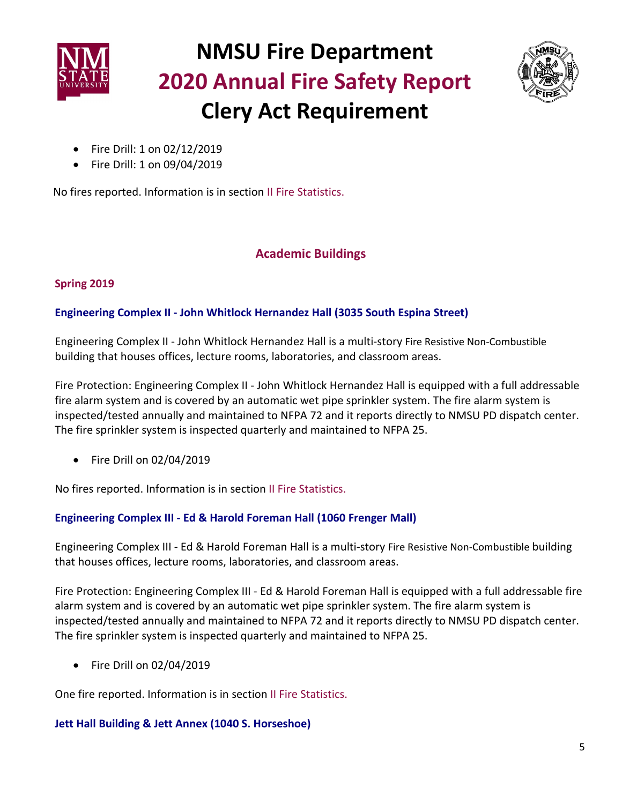



- Fire Drill: 1 on 02/12/2019
- Fire Drill: 1 on 09/04/2019

No fires reported. Information is in section II Fire Statistics.

## **Academic Buildings**

### **Spring 2019**

### **Engineering Complex II - John Whitlock Hernandez Hall (3035 South Espina Street)**

Engineering Complex II - John Whitlock Hernandez Hall is a multi-story Fire Resistive Non-Combustible building that houses offices, lecture rooms, laboratories, and classroom areas.

Fire Protection: Engineering Complex II - John Whitlock Hernandez Hall is equipped with a full addressable fire alarm system and is covered by an automatic wet pipe sprinkler system. The fire alarm system is inspected/tested annually and maintained to NFPA 72 and it reports directly to NMSU PD dispatch center. The fire sprinkler system is inspected quarterly and maintained to NFPA 25.

• Fire Drill on 02/04/2019

No fires reported. Information is in section II Fire Statistics.

### **Engineering Complex III - Ed & Harold Foreman Hall (1060 Frenger Mall)**

Engineering Complex III - Ed & Harold Foreman Hall is a multi-story Fire Resistive Non-Combustible building that houses offices, lecture rooms, laboratories, and classroom areas.

Fire Protection: Engineering Complex III - Ed & Harold Foreman Hall is equipped with a full addressable fire alarm system and is covered by an automatic wet pipe sprinkler system. The fire alarm system is inspected/tested annually and maintained to NFPA 72 and it reports directly to NMSU PD dispatch center. The fire sprinkler system is inspected quarterly and maintained to NFPA 25.

• Fire Drill on 02/04/2019

One fire reported. Information is in section II Fire Statistics.

#### **Jett Hall Building & Jett Annex (1040 S. Horseshoe)**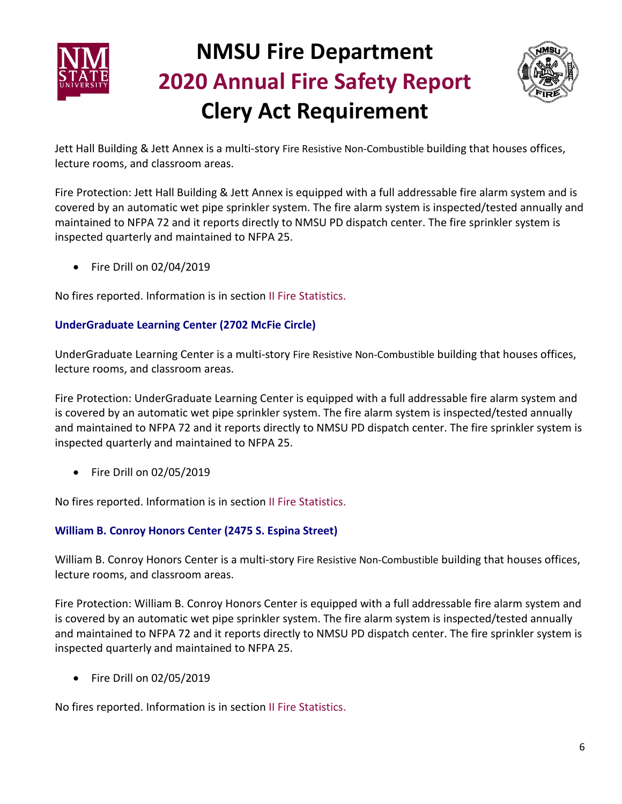



Jett Hall Building & Jett Annex is a multi-story Fire Resistive Non-Combustible building that houses offices, lecture rooms, and classroom areas.

Fire Protection: Jett Hall Building & Jett Annex is equipped with a full addressable fire alarm system and is covered by an automatic wet pipe sprinkler system. The fire alarm system is inspected/tested annually and maintained to NFPA 72 and it reports directly to NMSU PD dispatch center. The fire sprinkler system is inspected quarterly and maintained to NFPA 25.

• Fire Drill on 02/04/2019

No fires reported. Information is in section II Fire Statistics.

### **UnderGraduate Learning Center (2702 McFie Circle)**

UnderGraduate Learning Center is a multi-story Fire Resistive Non-Combustible building that houses offices, lecture rooms, and classroom areas.

Fire Protection: UnderGraduate Learning Center is equipped with a full addressable fire alarm system and is covered by an automatic wet pipe sprinkler system. The fire alarm system is inspected/tested annually and maintained to NFPA 72 and it reports directly to NMSU PD dispatch center. The fire sprinkler system is inspected quarterly and maintained to NFPA 25.

• Fire Drill on 02/05/2019

No fires reported. Information is in section II Fire Statistics.

### **William B. Conroy Honors Center (2475 S. Espina Street)**

William B. Conroy Honors Center is a multi-story Fire Resistive Non-Combustible building that houses offices, lecture rooms, and classroom areas.

Fire Protection: William B. Conroy Honors Center is equipped with a full addressable fire alarm system and is covered by an automatic wet pipe sprinkler system. The fire alarm system is inspected/tested annually and maintained to NFPA 72 and it reports directly to NMSU PD dispatch center. The fire sprinkler system is inspected quarterly and maintained to NFPA 25.

• Fire Drill on 02/05/2019

No fires reported. Information is in section II Fire Statistics.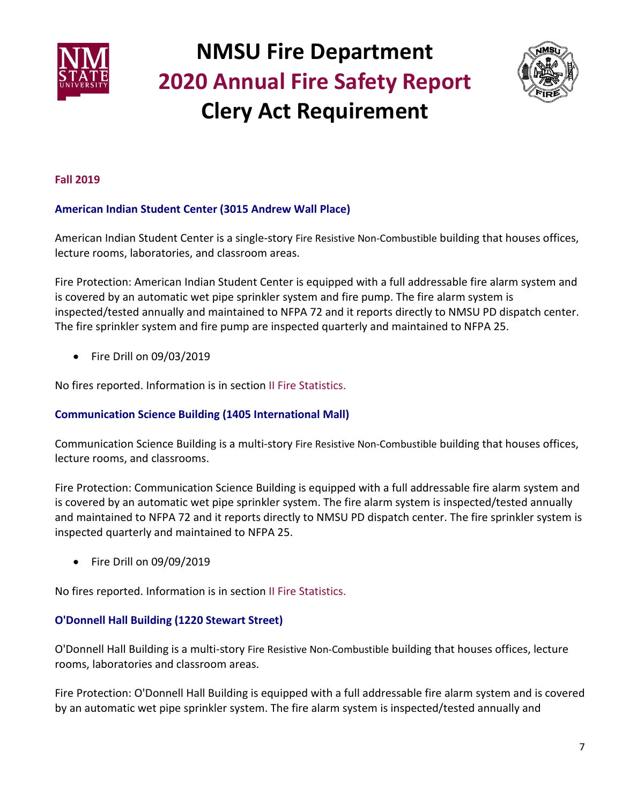



#### **Fall 2019**

#### **American Indian Student Center (3015 Andrew Wall Place)**

American Indian Student Center is a single-story Fire Resistive Non-Combustible building that houses offices, lecture rooms, laboratories, and classroom areas.

Fire Protection: American Indian Student Center is equipped with a full addressable fire alarm system and is covered by an automatic wet pipe sprinkler system and fire pump. The fire alarm system is inspected/tested annually and maintained to NFPA 72 and it reports directly to NMSU PD dispatch center. The fire sprinkler system and fire pump are inspected quarterly and maintained to NFPA 25.

• Fire Drill on 09/03/2019

No fires reported. Information is in section II Fire Statistics.

#### **Communication Science Building (1405 International Mall)**

Communication Science Building is a multi-story Fire Resistive Non-Combustible building that houses offices, lecture rooms, and classrooms.

Fire Protection: Communication Science Building is equipped with a full addressable fire alarm system and is covered by an automatic wet pipe sprinkler system. The fire alarm system is inspected/tested annually and maintained to NFPA 72 and it reports directly to NMSU PD dispatch center. The fire sprinkler system is inspected quarterly and maintained to NFPA 25.

• Fire Drill on 09/09/2019

No fires reported. Information is in section II Fire Statistics.

#### **O'Donnell Hall Building (1220 Stewart Street)**

O'Donnell Hall Building is a multi-story Fire Resistive Non-Combustible building that houses offices, lecture rooms, laboratories and classroom areas.

Fire Protection: O'Donnell Hall Building is equipped with a full addressable fire alarm system and is covered by an automatic wet pipe sprinkler system. The fire alarm system is inspected/tested annually and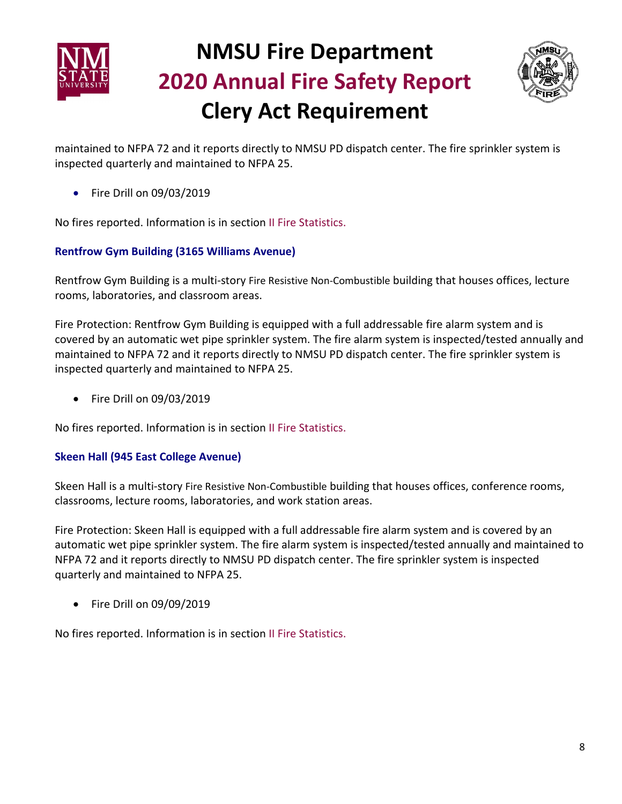



maintained to NFPA 72 and it reports directly to NMSU PD dispatch center. The fire sprinkler system is inspected quarterly and maintained to NFPA 25.

• Fire Drill on 09/03/2019

No fires reported. Information is in section II Fire Statistics.

#### **Rentfrow Gym Building (3165 Williams Avenue)**

Rentfrow Gym Building is a multi-story Fire Resistive Non-Combustible building that houses offices, lecture rooms, laboratories, and classroom areas.

Fire Protection: Rentfrow Gym Building is equipped with a full addressable fire alarm system and is covered by an automatic wet pipe sprinkler system. The fire alarm system is inspected/tested annually and maintained to NFPA 72 and it reports directly to NMSU PD dispatch center. The fire sprinkler system is inspected quarterly and maintained to NFPA 25.

• Fire Drill on 09/03/2019

No fires reported. Information is in section II Fire Statistics.

#### **Skeen Hall (945 East College Avenue)**

Skeen Hall is a multi-story Fire Resistive Non-Combustible building that houses offices, conference rooms, classrooms, lecture rooms, laboratories, and work station areas.

Fire Protection: Skeen Hall is equipped with a full addressable fire alarm system and is covered by an automatic wet pipe sprinkler system. The fire alarm system is inspected/tested annually and maintained to NFPA 72 and it reports directly to NMSU PD dispatch center. The fire sprinkler system is inspected quarterly and maintained to NFPA 25.

• Fire Drill on 09/09/2019

No fires reported. Information is in section II Fire Statistics.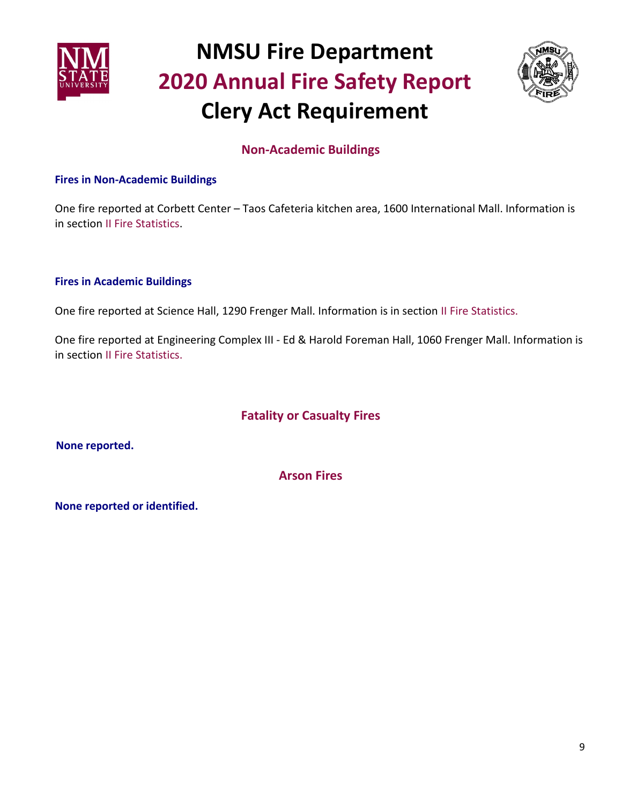



## **Non-Academic Buildings**

#### **Fires in Non-Academic Buildings**

One fire reported at Corbett Center – Taos Cafeteria kitchen area, 1600 International Mall. Information is in section II Fire Statistics.

#### **Fires in Academic Buildings**

One fire reported at Science Hall, 1290 Frenger Mall. Information is in section II Fire Statistics.

One fire reported at Engineering Complex III - Ed & Harold Foreman Hall, 1060 Frenger Mall. Information is in section II Fire Statistics.

## **Fatality or Casualty Fires**

 **None reported.**

**Arson Fires** 

**None reported or identified.**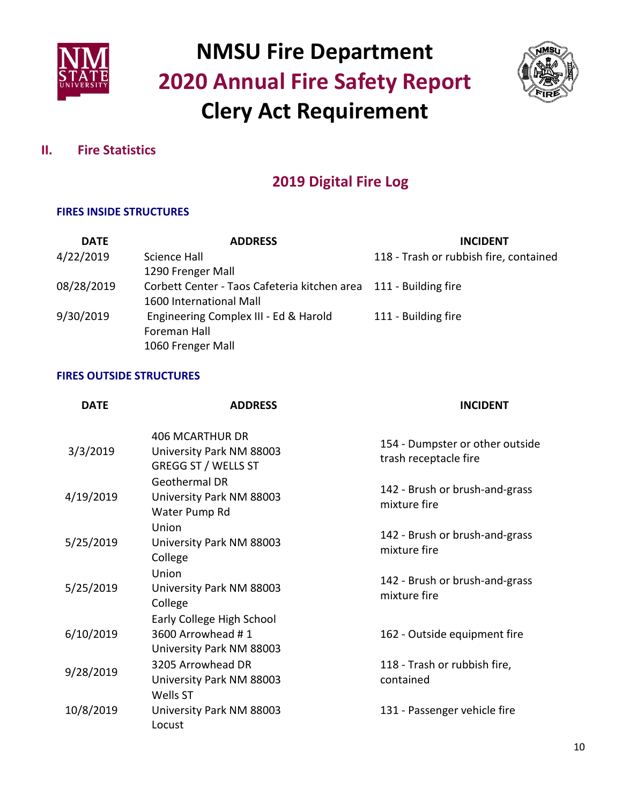



### **II. Fire Statistics**

## **2019 Digital Fire Log**

### **FIRES INSIDE STRUCTURES**

| <b>DATE</b> | <b>ADDRESS</b>                                                   | <b>INCIDENT</b>                        |
|-------------|------------------------------------------------------------------|----------------------------------------|
| 4/22/2019   | Science Hall                                                     | 118 - Trash or rubbish fire, contained |
|             | 1290 Frenger Mall                                                |                                        |
| 08/28/2019  | Corbett Center - Taos Cafeteria kitchen area 111 - Building fire |                                        |
|             | 1600 International Mall                                          |                                        |
| 9/30/2019   | Engineering Complex III - Ed & Harold                            | 111 - Building fire                    |
|             | Foreman Hall                                                     |                                        |
|             | 1060 Frenger Mall                                                |                                        |

#### **FIRES OUTSIDE STRUCTURES**

| <b>DATE</b> | <b>ADDRESS</b>                                                                   | <b>INCIDENT</b>                                          |
|-------------|----------------------------------------------------------------------------------|----------------------------------------------------------|
| 3/3/2019    | <b>406 MCARTHUR DR</b><br>University Park NM 88003<br><b>GREGG ST / WELLS ST</b> | 154 - Dumpster or other outside<br>trash receptacle fire |
| 4/19/2019   | Geothermal DR<br>University Park NM 88003<br>Water Pump Rd                       | 142 - Brush or brush-and-grass<br>mixture fire           |
| 5/25/2019   | Union<br>University Park NM 88003<br>College                                     | 142 - Brush or brush-and-grass<br>mixture fire           |
| 5/25/2019   | Union<br>University Park NM 88003<br>College                                     | 142 - Brush or brush-and-grass<br>mixture fire           |
| 6/10/2019   | Early College High School<br>3600 Arrowhead #1<br>University Park NM 88003       | 162 - Outside equipment fire                             |
| 9/28/2019   | 3205 Arrowhead DR<br>University Park NM 88003<br>Wells ST                        | 118 - Trash or rubbish fire,<br>contained                |
| 10/8/2019   | University Park NM 88003<br>Locust                                               | 131 - Passenger vehicle fire                             |